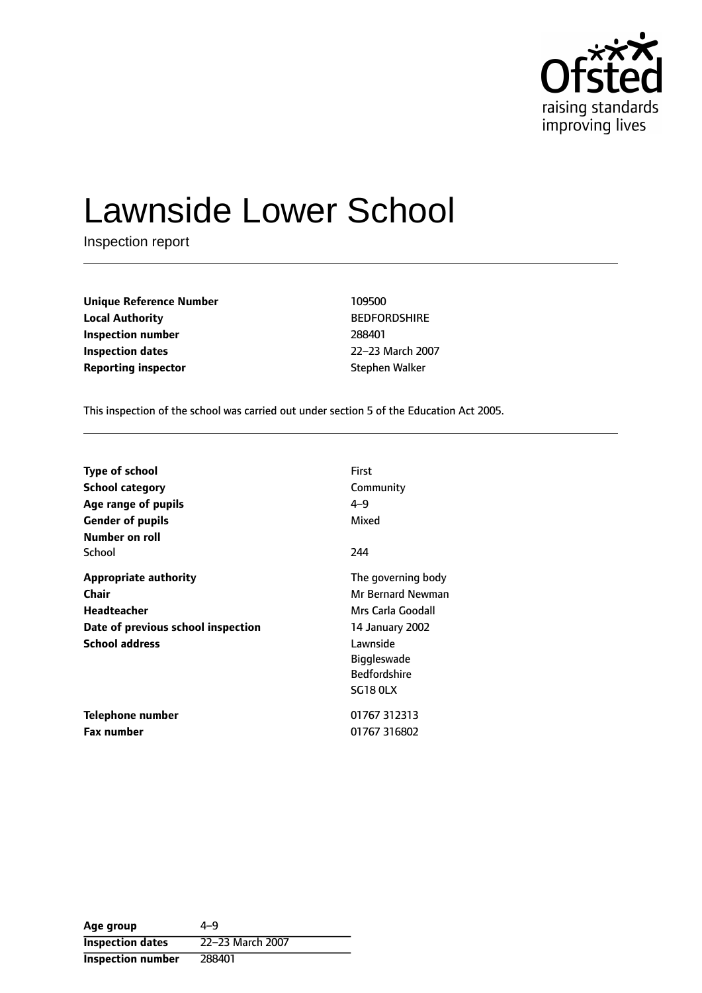

# Lawnside Lower School

Inspection report

| <b>Unique Reference Number</b> | 109500              |
|--------------------------------|---------------------|
| <b>Local Authority</b>         | <b>BEDFORDSHIRE</b> |
| Inspection number              | 288401              |
| <b>Inspection dates</b>        | 22-23 March 20      |
| <b>Reporting inspector</b>     | Stephen Walker      |

**Unique Reference Number** 109500 **BEDFORDSHIRE Inspection dates** 2223 March 2007

This inspection of the school was carried out under section 5 of the Education Act 2005.

| <b>Type of school</b>              | <b>First</b>        |
|------------------------------------|---------------------|
| <b>School category</b>             | Community           |
| Age range of pupils                | $4 - 9$             |
| <b>Gender of pupils</b>            | Mixed               |
| Number on roll                     |                     |
| School                             | 244                 |
| <b>Appropriate authority</b>       | The governing body  |
| Chair                              | Mr Bernard Newman   |
| <b>Headteacher</b>                 | Mrs Carla Goodall   |
| Date of previous school inspection | 14 January 2002     |
| <b>School address</b>              | Lawnside            |
|                                    | <b>Biggleswade</b>  |
|                                    | <b>Bedfordshire</b> |
|                                    | <b>SG18 OLX</b>     |
| <b>Telephone number</b>            | 01767 312313        |
| <b>Fax number</b>                  | 01767 316802        |

Age group  $4-9$ **Inspection dates** 22-23 March 2007 **Inspection number** 288401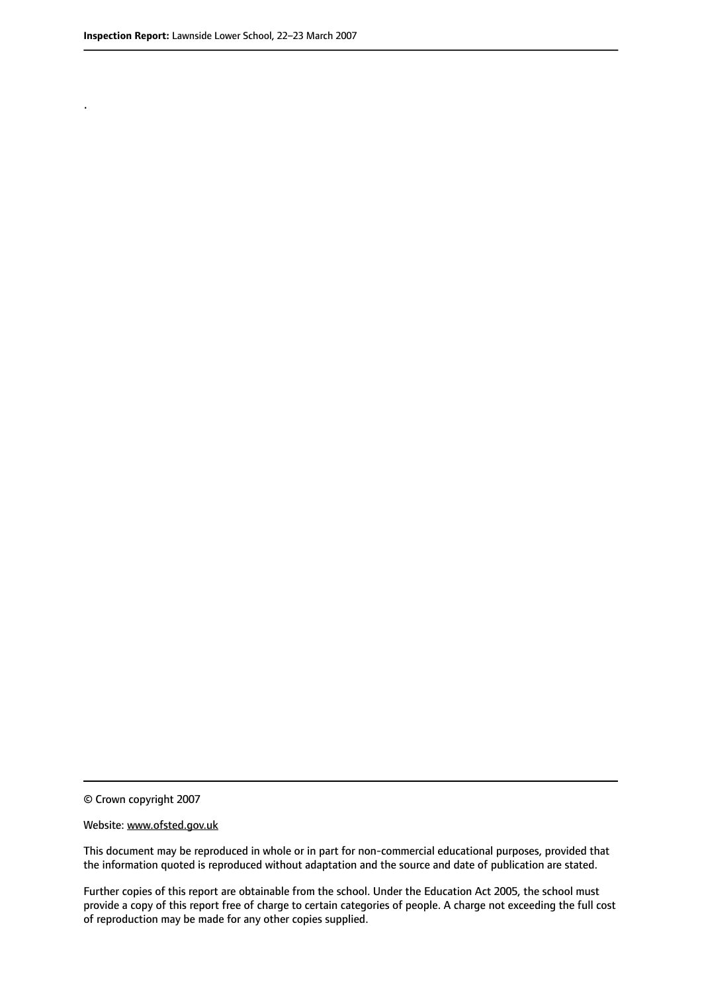.

© Crown copyright 2007

#### Website: www.ofsted.gov.uk

This document may be reproduced in whole or in part for non-commercial educational purposes, provided that the information quoted is reproduced without adaptation and the source and date of publication are stated.

Further copies of this report are obtainable from the school. Under the Education Act 2005, the school must provide a copy of this report free of charge to certain categories of people. A charge not exceeding the full cost of reproduction may be made for any other copies supplied.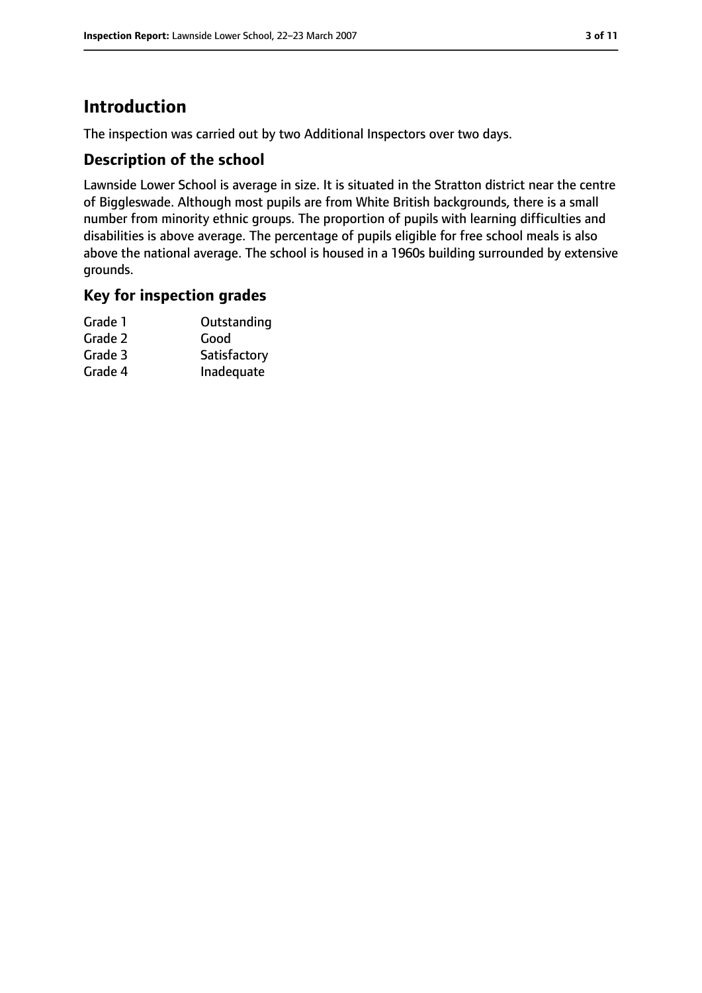## **Introduction**

The inspection was carried out by two Additional Inspectors over two days.

#### **Description of the school**

Lawnside Lower School is average in size. It is situated in the Stratton district near the centre of Biggleswade. Although most pupils are from White British backgrounds, there is a small number from minority ethnic groups. The proportion of pupils with learning difficulties and disabilities is above average. The percentage of pupils eligible for free school meals is also above the national average. The school is housed in a 1960s building surrounded by extensive grounds.

#### **Key for inspection grades**

| Grade 1 | Outstanding  |
|---------|--------------|
| Grade 2 | Good         |
| Grade 3 | Satisfactory |
| Grade 4 | Inadequate   |
|         |              |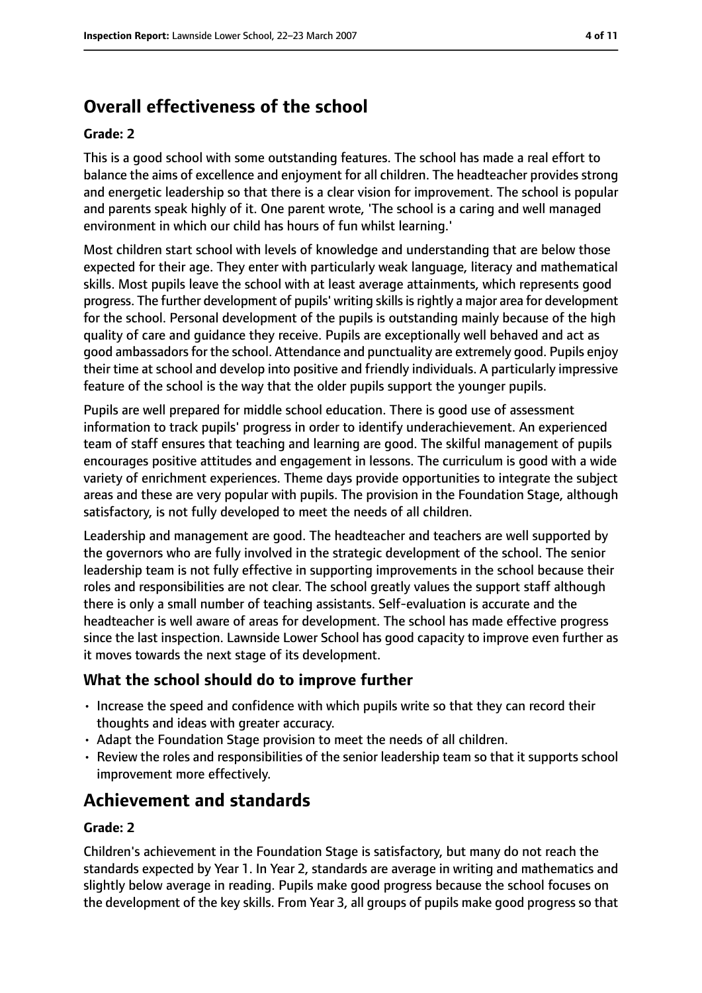# **Overall effectiveness of the school**

#### **Grade: 2**

This is a good school with some outstanding features. The school has made a real effort to balance the aims of excellence and enjoyment for all children. The headteacher provides strong and energetic leadership so that there is a clear vision for improvement. The school is popular and parents speak highly of it. One parent wrote, 'The school is a caring and well managed environment in which our child has hours of fun whilst learning.'

Most children start school with levels of knowledge and understanding that are below those expected for their age. They enter with particularly weak language, literacy and mathematical skills. Most pupils leave the school with at least average attainments, which represents good progress. The further development of pupils' writing skillsisrightly a major area for development for the school. Personal development of the pupils is outstanding mainly because of the high quality of care and guidance they receive. Pupils are exceptionally well behaved and act as good ambassadors for the school. Attendance and punctuality are extremely good. Pupils enjoy their time at school and develop into positive and friendly individuals. A particularly impressive feature of the school is the way that the older pupils support the younger pupils.

Pupils are well prepared for middle school education. There is good use of assessment information to track pupils' progress in order to identify underachievement. An experienced team of staff ensures that teaching and learning are good. The skilful management of pupils encourages positive attitudes and engagement in lessons. The curriculum is good with a wide variety of enrichment experiences. Theme days provide opportunities to integrate the subject areas and these are very popular with pupils. The provision in the Foundation Stage, although satisfactory, is not fully developed to meet the needs of all children.

Leadership and management are good. The headteacher and teachers are well supported by the governors who are fully involved in the strategic development of the school. The senior leadership team is not fully effective in supporting improvements in the school because their roles and responsibilities are not clear. The school greatly values the support staff although there is only a small number of teaching assistants. Self-evaluation is accurate and the headteacher is well aware of areas for development. The school has made effective progress since the last inspection. Lawnside Lower School has good capacity to improve even further as it moves towards the next stage of its development.

#### **What the school should do to improve further**

- Increase the speed and confidence with which pupils write so that they can record their thoughts and ideas with greater accuracy.
- Adapt the Foundation Stage provision to meet the needs of all children.
- Review the roles and responsibilities of the senior leadership team so that it supports school improvement more effectively.

## **Achievement and standards**

#### **Grade: 2**

Children's achievement in the Foundation Stage is satisfactory, but many do not reach the standards expected by Year 1. In Year 2, standards are average in writing and mathematics and slightly below average in reading. Pupils make good progress because the school focuses on the development of the key skills. From Year 3, all groups of pupils make good progress so that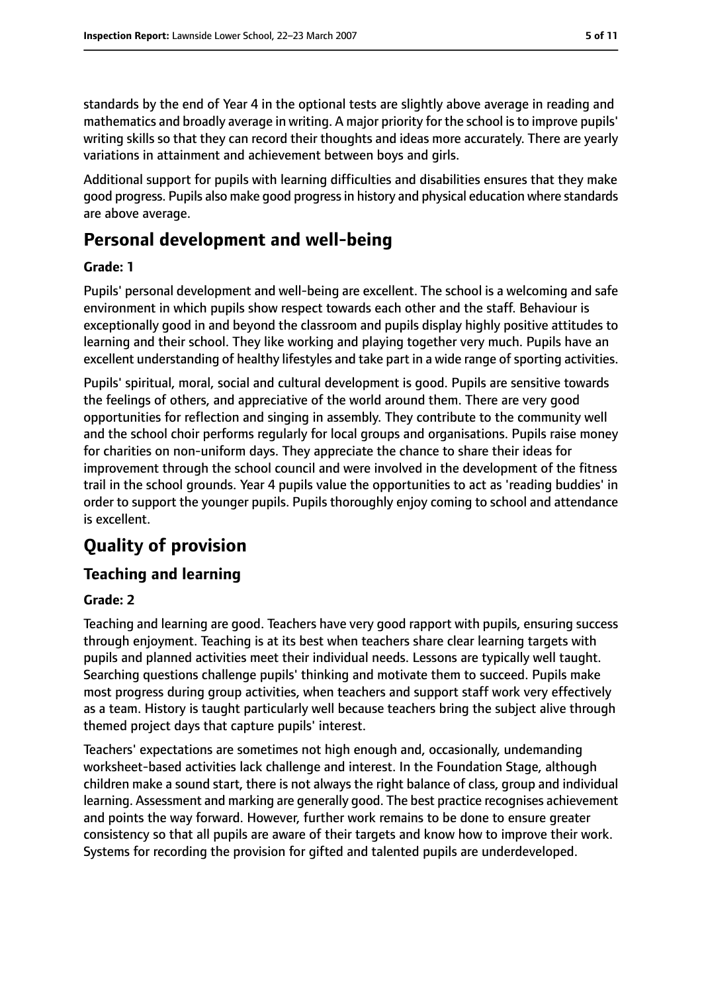standards by the end of Year 4 in the optional tests are slightly above average in reading and mathematics and broadly average in writing. A major priority for the school isto improve pupils' writing skills so that they can record their thoughts and ideas more accurately. There are yearly variations in attainment and achievement between boys and girls.

Additional support for pupils with learning difficulties and disabilities ensures that they make good progress. Pupils also make good progressin history and physical education where standards are above average.

## **Personal development and well-being**

#### **Grade: 1**

Pupils' personal development and well-being are excellent. The school is a welcoming and safe environment in which pupils show respect towards each other and the staff. Behaviour is exceptionally good in and beyond the classroom and pupils display highly positive attitudes to learning and their school. They like working and playing together very much. Pupils have an excellent understanding of healthy lifestyles and take part in a wide range of sporting activities.

Pupils' spiritual, moral, social and cultural development is good. Pupils are sensitive towards the feelings of others, and appreciative of the world around them. There are very good opportunities for reflection and singing in assembly. They contribute to the community well and the school choir performs regularly for local groups and organisations. Pupils raise money for charities on non-uniform days. They appreciate the chance to share their ideas for improvement through the school council and were involved in the development of the fitness trail in the school grounds. Year 4 pupils value the opportunities to act as 'reading buddies' in order to support the younger pupils. Pupils thoroughly enjoy coming to school and attendance is excellent.

# **Quality of provision**

#### **Teaching and learning**

#### **Grade: 2**

Teaching and learning are good. Teachers have very good rapport with pupils, ensuring success through enjoyment. Teaching is at its best when teachers share clear learning targets with pupils and planned activities meet their individual needs. Lessons are typically well taught. Searching questions challenge pupils' thinking and motivate them to succeed. Pupils make most progress during group activities, when teachers and support staff work very effectively as a team. History is taught particularly well because teachers bring the subject alive through themed project days that capture pupils' interest.

Teachers' expectations are sometimes not high enough and, occasionally, undemanding worksheet-based activities lack challenge and interest. In the Foundation Stage, although children make a sound start, there is not always the right balance of class, group and individual learning. Assessment and marking are generally good. The best practice recognises achievement and points the way forward. However, further work remains to be done to ensure greater consistency so that all pupils are aware of their targets and know how to improve their work. Systems for recording the provision for gifted and talented pupils are underdeveloped.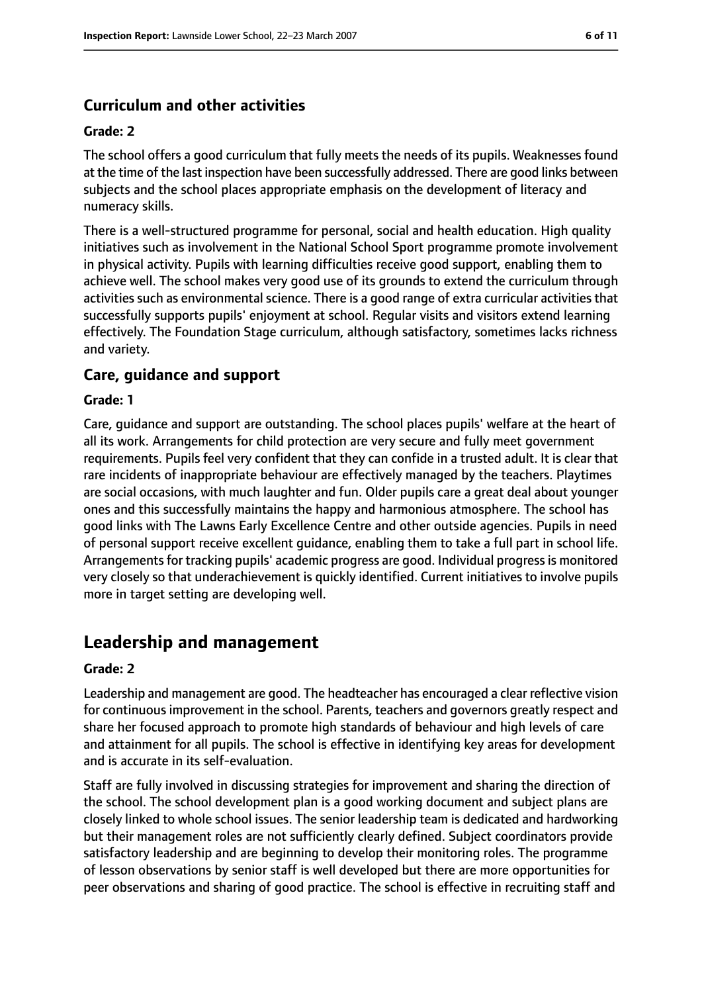## **Curriculum and other activities**

#### **Grade: 2**

The school offers a good curriculum that fully meets the needs of its pupils. Weaknesses found at the time of the last inspection have been successfully addressed. There are good links between subjects and the school places appropriate emphasis on the development of literacy and numeracy skills.

There is a well-structured programme for personal, social and health education. High quality initiatives such as involvement in the National School Sport programme promote involvement in physical activity. Pupils with learning difficulties receive good support, enabling them to achieve well. The school makes very good use of its grounds to extend the curriculum through activities such as environmental science. There is a good range of extra curricular activities that successfully supports pupils' enjoyment at school. Regular visits and visitors extend learning effectively. The Foundation Stage curriculum, although satisfactory, sometimes lacks richness and variety.

#### **Care, guidance and support**

#### **Grade: 1**

Care, guidance and support are outstanding. The school places pupils' welfare at the heart of all its work. Arrangements for child protection are very secure and fully meet government requirements. Pupils feel very confident that they can confide in a trusted adult. It is clear that rare incidents of inappropriate behaviour are effectively managed by the teachers. Playtimes are social occasions, with much laughter and fun. Older pupils care a great deal about younger ones and this successfully maintains the happy and harmonious atmosphere. The school has good links with The Lawns Early Excellence Centre and other outside agencies. Pupils in need of personal support receive excellent guidance, enabling them to take a full part in school life. Arrangements for tracking pupils' academic progress are good. Individual progress is monitored very closely so that underachievement is quickly identified. Current initiatives to involve pupils more in target setting are developing well.

## **Leadership and management**

#### **Grade: 2**

Leadership and management are good. The headteacher has encouraged a clear reflective vision for continuous improvement in the school. Parents, teachers and governors greatly respect and share her focused approach to promote high standards of behaviour and high levels of care and attainment for all pupils. The school is effective in identifying key areas for development and is accurate in its self-evaluation.

Staff are fully involved in discussing strategies for improvement and sharing the direction of the school. The school development plan is a good working document and subject plans are closely linked to whole school issues. The senior leadership team is dedicated and hardworking but their management roles are not sufficiently clearly defined. Subject coordinators provide satisfactory leadership and are beginning to develop their monitoring roles. The programme of lesson observations by senior staff is well developed but there are more opportunities for peer observations and sharing of good practice. The school is effective in recruiting staff and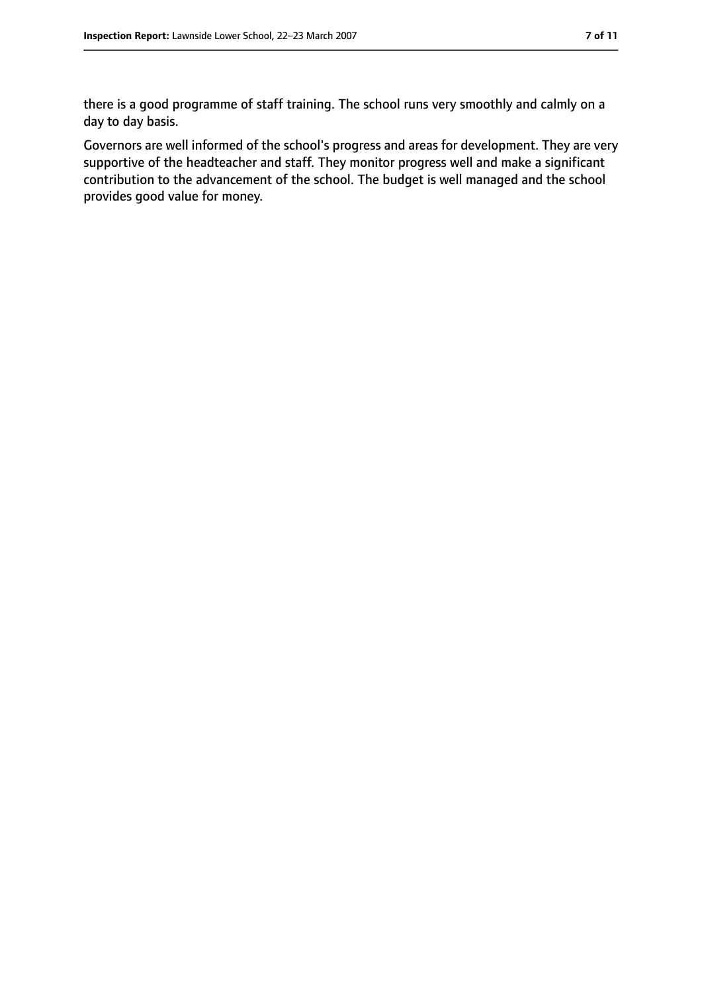there is a good programme of staff training. The school runs very smoothly and calmly on a day to day basis.

Governors are well informed of the school's progress and areas for development. They are very supportive of the headteacher and staff. They monitor progress well and make a significant contribution to the advancement of the school. The budget is well managed and the school provides good value for money.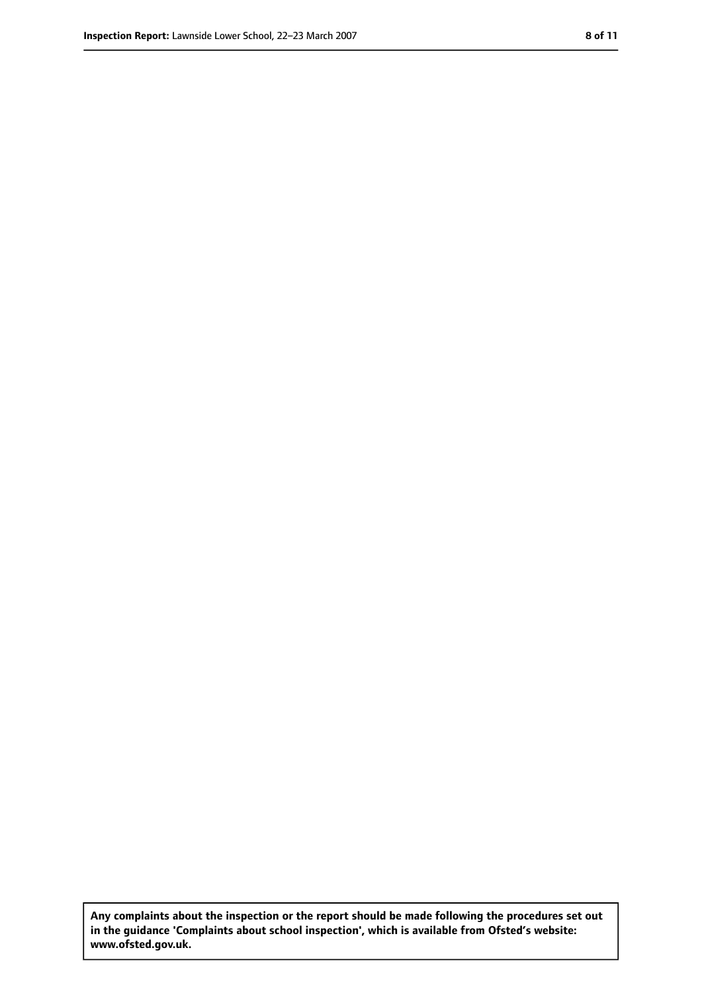**Any complaints about the inspection or the report should be made following the procedures set out in the guidance 'Complaints about school inspection', which is available from Ofsted's website: www.ofsted.gov.uk.**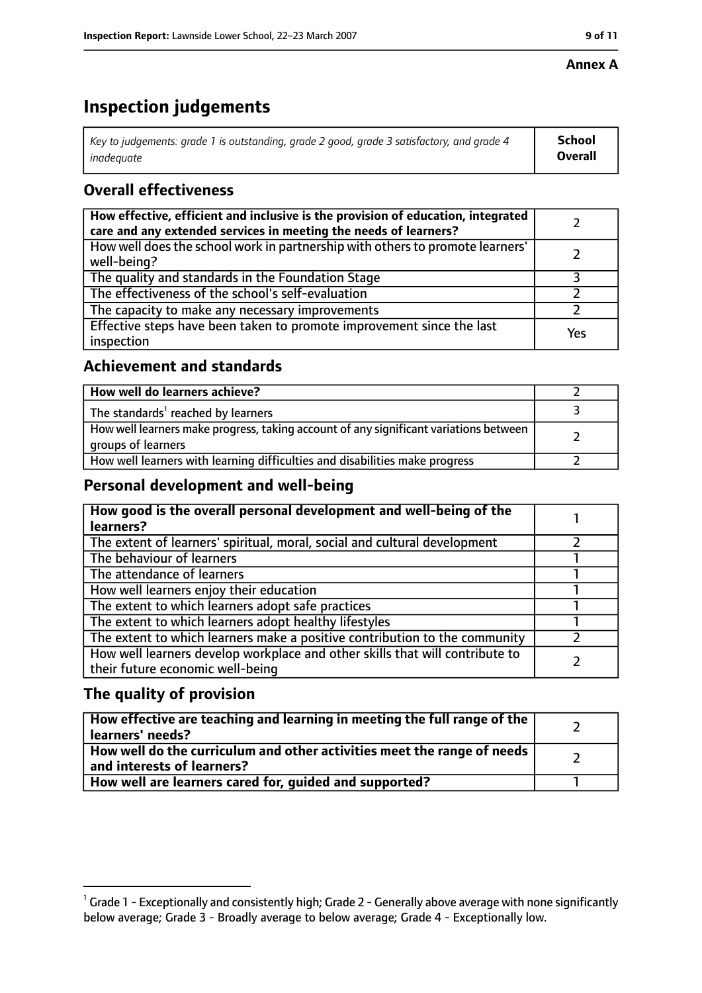#### **Annex A**

## **Inspection judgements**

| Key to judgements: grade 1 is outstanding, grade 2 good, grade 3 satisfactory, and grade 4 $\,$ | <b>School</b>  |
|-------------------------------------------------------------------------------------------------|----------------|
| inadequate                                                                                      | <b>Overall</b> |

## **Overall effectiveness**

| How effective, efficient and inclusive is the provision of education, integrated<br>care and any extended services in meeting the needs of learners? |     |
|------------------------------------------------------------------------------------------------------------------------------------------------------|-----|
| How well does the school work in partnership with others to promote learners'<br>well-being?                                                         |     |
| The quality and standards in the Foundation Stage                                                                                                    |     |
| The effectiveness of the school's self-evaluation                                                                                                    |     |
| The capacity to make any necessary improvements                                                                                                      |     |
| Effective steps have been taken to promote improvement since the last<br>inspection                                                                  | Yes |

#### **Achievement and standards**

| How well do learners achieve?                                                                               |  |
|-------------------------------------------------------------------------------------------------------------|--|
| The standards <sup>1</sup> reached by learners                                                              |  |
| How well learners make progress, taking account of any significant variations between<br>groups of learners |  |
| How well learners with learning difficulties and disabilities make progress                                 |  |

#### **Personal development and well-being**

| How good is the overall personal development and well-being of the<br>learners?                                  |  |
|------------------------------------------------------------------------------------------------------------------|--|
| The extent of learners' spiritual, moral, social and cultural development                                        |  |
| The behaviour of learners                                                                                        |  |
| The attendance of learners                                                                                       |  |
| How well learners enjoy their education                                                                          |  |
| The extent to which learners adopt safe practices                                                                |  |
| The extent to which learners adopt healthy lifestyles                                                            |  |
| The extent to which learners make a positive contribution to the community                                       |  |
| How well learners develop workplace and other skills that will contribute to<br>their future economic well-being |  |

## **The quality of provision**

| How effective are teaching and learning in meeting the full range of the<br>learners' needs?          |  |
|-------------------------------------------------------------------------------------------------------|--|
| How well do the curriculum and other activities meet the range of needs<br>and interests of learners? |  |
| How well are learners cared for, quided and supported?                                                |  |

 $^1$  Grade 1 - Exceptionally and consistently high; Grade 2 - Generally above average with none significantly below average; Grade 3 - Broadly average to below average; Grade 4 - Exceptionally low.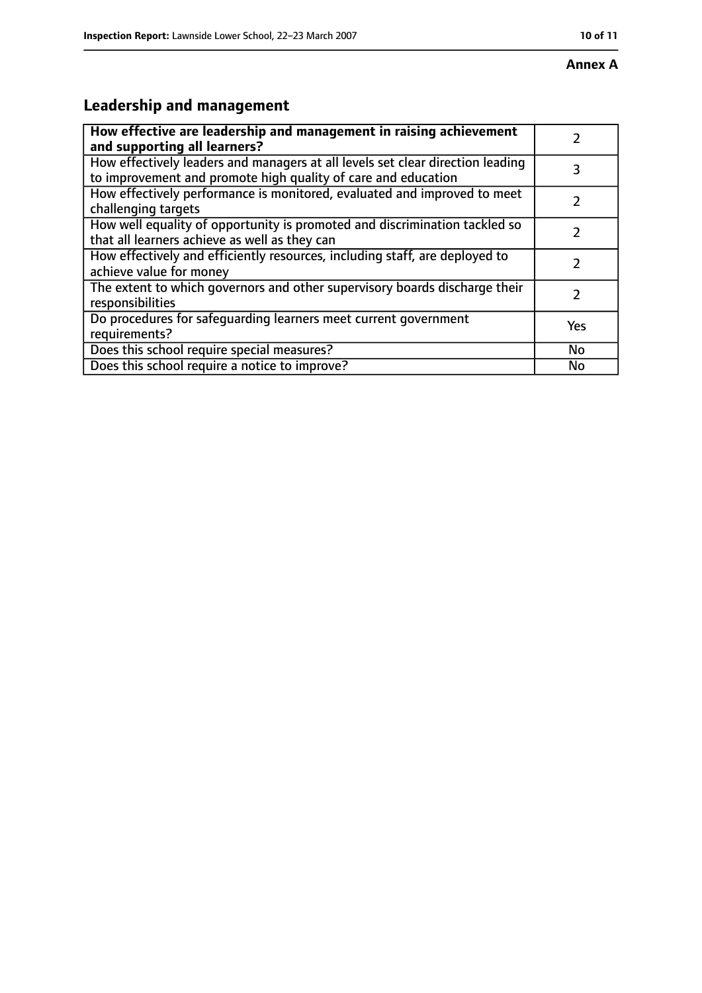# **Leadership and management**

| How effective are leadership and management in raising achievement<br>and supporting all learners?                                              |               |
|-------------------------------------------------------------------------------------------------------------------------------------------------|---------------|
| How effectively leaders and managers at all levels set clear direction leading<br>to improvement and promote high quality of care and education | 3             |
| How effectively performance is monitored, evaluated and improved to meet<br>challenging targets                                                 |               |
| How well equality of opportunity is promoted and discrimination tackled so<br>that all learners achieve as well as they can                     |               |
| How effectively and efficiently resources, including staff, are deployed to<br>achieve value for money                                          | 7             |
| The extent to which governors and other supervisory boards discharge their<br>responsibilities                                                  | $\mathcal{L}$ |
| Do procedures for safequarding learners meet current government<br>requirements?                                                                | Yes           |
| Does this school require special measures?                                                                                                      | No            |
| Does this school require a notice to improve?                                                                                                   | No            |